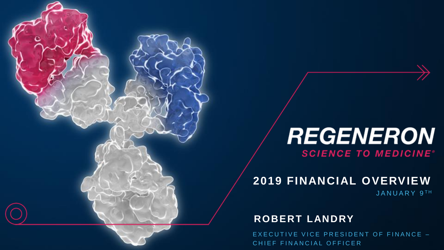# **REGENERON SCIENCE TO MEDICINE®**

# **2019 FINANCIAL OVERVIEW**

JANUARY 9TH

### **ROBERT LANDRY**

Not for use in promotion. For approved corporate use only. EXECUTIVE VICE PRESIDENT OF FINANCE -CHIEF FINANCIAL OFFICER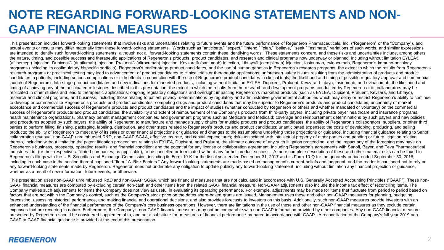## **NOTE REGARDING FORWARD-LOOKING STATEMENTS AND NON-GAAP FINANCIAL MEASURES**

This presentation includes forward-looking statements that involve risks and uncertainties relating to future events and the future performance of Regeneron Pharmaceuticals, Inc. ("Regeneron" or the "Company"), and actual events or results may differ materially from these forward-looking statements. Words such as "anticipate," "expect," "intend," "plan," "believe," "seek," "estimate," variations of such words, and similar expressions are intended to identify such forward-looking statements, although not all forward-looking statements contain these identifying words. These statements concern, and these risks and uncertainties include, among others, the nature, timing, and possible success and therapeutic applications of Regeneron's products, product candidates, and research and clinical programs now underway or planned, including without limitation EYLEA® (aflibercept) Injection, Dupixent® (dupilumab) Injection, Praluent® (alirocumab) Injection, Kevzara® (sarilumab) Injection, Libtayo® (cemiplimab) Injection, fasinumab, evinacumab, Regeneron's immuno-oncology programs (including its costimulatory bispecific portfolio). Regeneron's earlier-stage product candidates, and the use of human genetics in Regeneron's research programs; the extent to which the results from Regeneron's research programs or preclinical testing may lead to advancement of product candidates to clinical trials or therapeutic applications; unforeseen safety issues resulting from the administration of products and product candidates in patients, including serious complications or side effects in connection with the use of Regeneron's product candidates in clinical trials: the likelihood and timing of possible requiatory approval and commerc launch of Regeneron's late-stage product candidates and new indications for marketed products, including without limitation EYLEA, Dupixent, Praluent, Kevzara, Libtayo, fasinumab, and evinacumab; the likelihood and timing of achieving any of the anticipated milestones described in this presentation; the extent to which the results from the research and development programs conducted by Regeneron or its collaborators may be replicated in other studies and lead to therapeutic applications; ongoing regulatory obligations and oversight impacting Regeneron's marketed products (such as EYLEA, Dupixent, Praluent, Keyzara, and Libtayo), research and clinical programs, and business, including those relating to patient privacy; determinations by regulatory and administrative governmental authorities which may delay or restrict Regeneron's ability to continu to develop or commercialize Regeneron's products and product candidates; competing drugs and product candidates that may be superior to Regeneron's products and product candidates; uncertainty of market acceptance and commercial success of Regeneron's products and product candidates and the impact of studies (whether conducted by Regeneron or others and whether mandated or voluntary) on the commercial success of Regeneron's products and product candidates; the availability and extent of reimbursement of the Company's products from third-party payers, including private payer healthcare and insurance programs, health maintenance organizations, pharmacy benefit management companies, and government programs such as Medicare and Medicaid; coverage and reimbursement determinations by such payers and new policies and procedures adopted by such payers; the ability of Regeneron to manufacture and manage supply chains for multiple products and product candidates; the ability of Regeneron's collaborators, suppliers, or other third parties to perform filling, finishing, packaging, labeling, distribution, and other steps related to Regeneron's products and product candidates; unanticipated expenses; the costs of developing, producing, and selling products; the ability of Regeneron to meet any of its sales or other financial projections or guidance and changes to the assumptions underlying those projections or guidance, including financial guidance relating to Sanofi collaboration revenue, non-GAAP unreimbursed R&D, non-GAAP SG&A, effective tax rate, and capital expenditures; risks associated with intellectual property of other parties and pending or future litigation relating thereto, including without limitation the patent litigation proceedings relating to EYLEA, Dupixent, and Praluent, the ultimate outcome of any such litigation proceeding, and the impact any of the foregoing may have on Regeneron's business, prospects, operating results, and financial condition; and the potential for any license or collaboration agreement, including Regeneron's agreements with Sanofi, Bayer, and Teva Pharmaceutical Industries Ltd. (or their respective affiliated companies, as applicable), to be cancelled or terminated without any further product success. A more complete description of these and other material risks can be found in Regeneron's filings with the U.S. Securities and Exchange Commission, including its Form 10-K for the fiscal year ended December 31, 2017 and its Form 10-Q for the quarterly period ended September 30, 2018. including in each case in the section thereof captioned "Item 1A. Risk Factors." Any forward-looking statements are made based on management's current beliefs and iudgment, and the reader is cautioned not to rely on any forward-looking statements made by Regeneron. Regeneron does not undertake any obligation to update publicly any forward-looking statement, including without limitation any financial projection or quidance, whether as a result of new information, future events, or otherwise.

This presentation uses non-GAAP unreimbursed R&D and non-GAAP SG&A, which are financial measures that are not calculated in accordance with U.S. Generally Accepted Accounting Principles ("GAAP"). These non-GAAP financial measures are computed by excluding certain non-cash and other items from the related GAAP financial measure. Non-GAAP adjustments also include the income tax effect of reconciling items. The Company makes such adjustments for items the Company does not view as useful in evaluating its operating performance. For example, adjustments may be made for items that fluctuate from period to period based on factors that are not within the Company's control, such as the Company's stock price on the dates share-based grants are issued. Management uses these and other non-GAAP measures for planning, budgeting, forecasting, assessing historical performance, and making financial and operational decisions, and also provides forecasts to investors on this basis. Additionally, such non-GAAP measures provide investors with an enhanced understanding of the financial performance of the Company's core business operations. However, there are limitations in the use of these and other non-GAAP financial measures as they exclude certain expenses that are recurring in nature. Furthermore, the Company's non-GAAP financial measures may not be comparable with non-GAAP information provided by other companies. Any non-GAAP financial measure presented by Regeneron should be considered supplemental to, and not a substitute for, measures of financial performance prepared in accordance with GAAP. A reconciliation of the Company's full year 2019 non-GAAP to GAAP financial guidance is provided at the end of this presentation.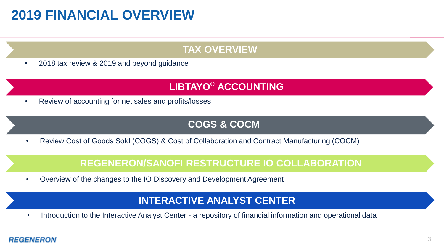# **2019 FINANCIAL OVERVIEW**

## **TAX OVERVIEW**

• 2018 tax review & 2019 and beyond guidance

## **LIBTAYO® ACCOUNTING**

• Review of accounting for net sales and profits/losses

## **COGS & COCM**

• Review Cost of Goods Sold (COGS) & Cost of Collaboration and Contract Manufacturing (COCM)

### **REGENERON/SANOFI RESTRUCTURE IO COLLABORATION**

• Overview of the changes to the IO Discovery and Development Agreement

### **INTERACTIVE ANALYST CENTER**

• Introduction to the Interactive Analyst Center - a repository of financial information and operational data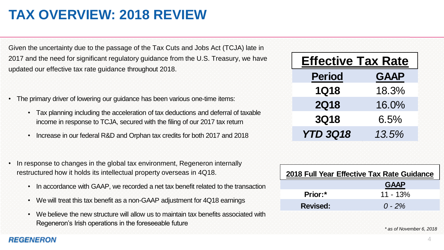# **TAX OVERVIEW: 2018 REVIEW**

Given the uncertainty due to the passage of the Tax Cuts and Jobs Act (TCJA) late in 2017 and the need for significant regulatory guidance from the U.S. Treasury, we have updated our effective tax rate guidance throughout 2018.

- The primary driver of lowering our guidance has been various one-time items:
	- Tax planning including the acceleration of tax deductions and deferral of taxable income in response to TCJA, secured with the filing of our 2017 tax return
	- Increase in our federal R&D and Orphan tax credits for both 2017 and 2018
- In response to changes in the global tax environment, Regeneron internally restructured how it holds its intellectual property overseas in 4Q18.
	- In accordance with GAAP, we recorded a net tax benefit related to the transaction
	- We will treat this tax benefit as a non-GAAP adjustment for 4Q18 earnings
	- We believe the new structure will allow us to maintain tax benefits associated with In accordance with GAAP, we recorded a net tax benefit related to the transaction<br>We will treat this tax benefit as a non-GAAP adjustment for 4Q18 earnings<br>We believe the new structure will allow us to maintain tax benefit

| <b>Period</b>   | <b>GAAP</b> |
|-----------------|-------------|
| <b>1Q18</b>     | 18.3%       |
| <b>2Q18</b>     | 16.0%       |
| <b>3Q18</b>     | 6.5%        |
| <b>YTD 3Q18</b> | 13.5%       |
|                 |             |
|                 |             |

| 2018 Full Year Effective Tax Rate Guidance |             |  |  |  |  |  |
|--------------------------------------------|-------------|--|--|--|--|--|
|                                            | <b>GAAP</b> |  |  |  |  |  |
| Prior:*                                    | $11 - 13%$  |  |  |  |  |  |
| <b>Revised:</b>                            | $0 - 2\%$   |  |  |  |  |  |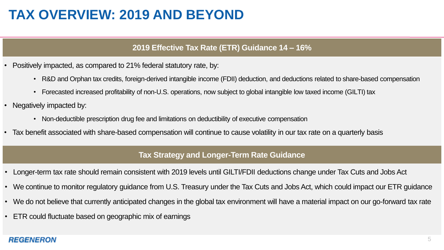# **TAX OVERVIEW: 2019 AND BEYOND**

#### **2019 Effective Tax Rate (ETR) Guidance 14 – 16%**

- Positively impacted, as compared to 21% federal statutory rate, by:
	- R&D and Orphan tax credits, foreign-derived intangible income (FDII) deduction, and deductions related to share-based compensation
	- Forecasted increased profitability of non-U.S. operations, now subject to global intangible low taxed income (GILTI) tax
- Negatively impacted by:
	- Non-deductible prescription drug fee and limitations on deductibility of executive compensation
- Tax benefit associated with share-based compensation will continue to cause volatility in our tax rate on a quarterly basis

#### **Tax Strategy and Longer-Term Rate Guidance**

- Longer-term tax rate should remain consistent with 2019 levels until GILTI/FDII deductions change under Tax Cuts and Jobs Act
- We continue to monitor regulatory guidance from U.S. Treasury under the Tax Cuts and Jobs Act, which could impact our ETR guidance
- We do not believe that currently anticipated changes in the global tax environment will have a material impact on our go-forward tax rate
- ETR could fluctuate based on geographic mix of earnings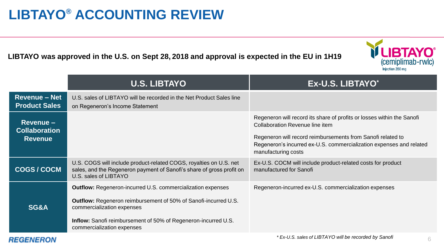# **LIBTAYO® ACCOUNTING REVIEW**

**LIBTAYO was approved in the U.S. on Sept 28, 2018 and approval is expected in the EU in 1H19** 



| <b>Revenue - Net</b><br><b>Product Sales</b><br>on Regeneron's Income Statement<br>Revenue -<br><b>Collaboration</b><br><b>Revenue</b> | U.S. sales of LIBTAYO will be recorded in the Net Product Sales line                                                                                                                                           |                                                                                                                                                                                                                                                                        |
|----------------------------------------------------------------------------------------------------------------------------------------|----------------------------------------------------------------------------------------------------------------------------------------------------------------------------------------------------------------|------------------------------------------------------------------------------------------------------------------------------------------------------------------------------------------------------------------------------------------------------------------------|
|                                                                                                                                        |                                                                                                                                                                                                                |                                                                                                                                                                                                                                                                        |
|                                                                                                                                        |                                                                                                                                                                                                                | Regeneron will record its share of profits or losses within the Sanofi<br>Collaboration Revenue line item<br>Regeneron will record reimbursements from Sanofi related to<br>Regeneron's incurred ex-U.S. commercialization expenses and related<br>manufacturing costs |
| <b>COGS/COCM</b><br>U.S. sales of LIBTAYO                                                                                              | U.S. COGS will include product-related COGS, royalties on U.S. net<br>sales, and the Regeneron payment of Sanofi's share of gross profit on                                                                    | Ex-U.S. COCM will include product-related costs for product<br>manufactured for Sanofi                                                                                                                                                                                 |
| SG&A<br>commercialization expenses<br>commercialization expenses                                                                       | <b>Outflow:</b> Regeneron-incurred U.S. commercialization expenses<br>Outflow: Regeneron reimbursement of 50% of Sanofi-incurred U.S.<br><b>Inflow:</b> Sanofi reimbursement of 50% of Regeneron-incurred U.S. | Regeneron-incurred ex-U.S. commercialization expenses                                                                                                                                                                                                                  |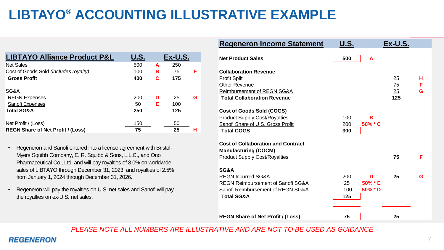# **LIBTAYO® ACCOUNTING ILLUSTRATIVE EXAMPLE**

| <b>LIBTAYO Alliance Product P&amp;L</b>  | <b>U.S.</b> |   | Ex-U.S. |   |
|------------------------------------------|-------------|---|---------|---|
| <b>Net Sales</b>                         | 500         | А | 250     |   |
| Cost of Goods Sold (includes royalty)    | 100         | в | 75      | F |
| <b>Gross Profit</b>                      | 400         | С | 175     |   |
| SG&A                                     |             |   |         |   |
| <b>REGN Expenses</b>                     | 200         | D | 25      | G |
| Sanofi Expenses                          | 50          | Е | 100     |   |
| <b>Total SG&amp;A</b>                    | 250         |   | 125     |   |
| Net Profit / (Loss)                      | 150         |   | 50      |   |
| <b>REGN Share of Net Profit / (Loss)</b> | 75          |   | 25      | н |

- Regeneron and Sanofi entered into a license agreement with Bristol-Myers Squibb Company, E. R. Squibb & Sons, L.L.C., and Ono Pharmaceutical Co., Ltd. and will pay royalties of 8.0% on worldwide sales of LIBTAYO through December 31, 2023, and royalties of 2.5% from January 1, 2024 through December 31, 2026.
- Regeneron will pay the royalties on U.S. net sales and Sanofi will pay the royalties on ex-U.S. net sales.

| <b>Regeneron Income Statement</b>                                                                                                                                     | <b>U.S.</b><br>Ex-U.S.                                              |
|-----------------------------------------------------------------------------------------------------------------------------------------------------------------------|---------------------------------------------------------------------|
| <b>Net Product Sales</b>                                                                                                                                              | 500<br>A                                                            |
| <b>Collaboration Revenue</b><br><b>Profit Split</b><br>Other Revenue<br>Reimbursement of REGN SG&A<br><b>Total Collaboration Revenue</b><br>Cost of Goods Sold (COGS) | 25<br>н<br>75<br>F<br>25<br>G<br>125                                |
| <b>Product Supply Cost/Royalties</b><br>Sanofi Share of U.S. Gross Profit<br><b>Total COGS</b>                                                                        | 100<br>в<br>200<br>50% * C<br>300                                   |
| <b>Cost of Collaboration and Contract</b><br><b>Manufacturing (COCM)</b><br><b>Product Supply Cost/Royalties</b>                                                      | F<br>75                                                             |
| SG&A<br>REGN Incurred SG&A<br>REGN Reimbursement of Sanofi SG&A<br>Sanofi Reimbursement of REGN SG&A<br><b>Total SG&amp;A</b>                                         | 200<br>25<br>D<br>G<br>25<br>50% * E<br>$50\%$ * D<br>$-100$<br>125 |
| <b>REGN Share of Net Profit / (Loss)</b>                                                                                                                              | 75<br>25                                                            |

*PLEASE NOTE ALL NUMBERS ARE ILLUSTRATIVE AND ARE NOT TO BE USED AS GUIDANCE*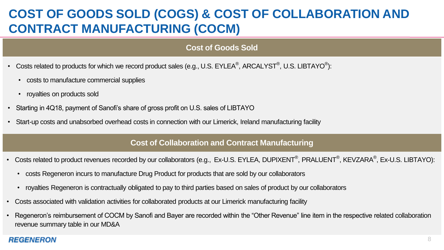## **COST OF GOODS SOLD (COGS) & COST OF COLLABORATION AND CONTRACT MANUFACTURING (COCM)**

#### **Cost of Goods Sold**

- Costs related to products for which we record product sales (e.g., U.S. EYLEA®, ARCALYST®, U.S. LIBTAYO®):
	- costs to manufacture commercial supplies
	- royalties on products sold
- Starting in 4Q18, payment of Sanofi's share of gross profit on U.S. sales of LIBTAYO
- Start-up costs and unabsorbed overhead costs in connection with our Limerick, Ireland manufacturing facility

#### **Cost of Collaboration and Contract Manufacturing**

- Costs related to product revenues recorded by our collaborators (e.g., Ex-U.S. EYLEA, DUPIXENT®, PRALUENT®, KEVZARA®, Ex-U.S. LIBTAYO):
	- costs Regeneron incurs to manufacture Drug Product for products that are sold by our collaborators
	- royalties Regeneron is contractually obligated to pay to third parties based on sales of product by our collaborators
- Costs associated with validation activities for collaborated products at our Limerick manufacturing facility
- Regeneron's reimbursement of COCM by Sanofi and Bayer are recorded within the "Other Revenue" line item in the respective related collaboration revenue summary table in our MD&A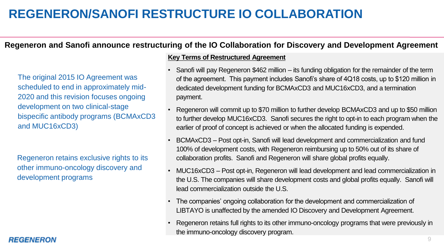## **REGENERON/SANOFI RESTRUCTURE IO COLLABORATION**

### **Regeneron and Sanofi announce restructuring of the IO Collaboration for Discovery and Development Agreement**

The original 2015 IO Agreement was scheduled to end in approximately mid-2020 and this revision focuses ongoing development on two clinical-stage bispecific antibody programs (BCMAxCD3 and MUC16xCD3)

Regeneron retains exclusive rights to its other immuno-oncology discovery and development programs

#### **Key Terms of Restructured Agreement**

- Sanofi will pay Regeneron \$462 million its funding obligation for the remainder of the term of the agreement. This payment includes Sanofi's share of 4Q18 costs, up to \$120 million in dedicated development funding for BCMAxCD3 and MUC16xCD3, and a termination payment.
- Regeneron will commit up to \$70 million to further develop BCMAxCD3 and up to \$50 million to further develop MUC16xCD3. Sanofi secures the right to opt-in to each program when the earlier of proof of concept is achieved or when the allocated funding is expended.
- BCMAxCD3 Post opt-in, Sanofi will lead development and commercialization and fund 100% of development costs, with Regeneron reimbursing up to 50% out of its share of collaboration profits. Sanofi and Regeneron will share global profits equally.
- MUC16xCD3 Post opt-in, Regeneron will lead development and lead commercialization in the U.S. The companies will share development costs and global profits equally. Sanofi will lead commercialization outside the U.S.
- The companies' ongoing collaboration for the development and commercialization of LIBTAYO is unaffected by the amended IO Discovery and Development Agreement.
- Regeneron retains full rights to its other immuno-oncology programs that were previously in the immuno-oncology discovery program.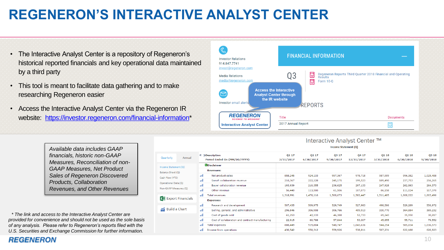# **REGENERON'S INTERACTIVE ANALYST CENTER**

- The Interactive Analyst Center is a repository of Regeneron's historical reported financials and key operational data maintained by a third party
- This tool is meant to facilitate data gathering and to make researching Regeneron easier
- Access the Interactive Analyst Center via the Regeneron IR website: [https://investor.regeneron.com/financial-information\\*](https://investor.regeneron.com/financial-information)



| Available data includes GAAP        |
|-------------------------------------|
| financials, historic non-GAAP       |
| Measures, Reconciliation of non-    |
| <b>GAAP Measures, Net Product</b>   |
| Sales of Regeneron Discovered       |
| Products, Collaboration             |
| <b>Revenues, and Other Revenues</b> |

*\* The link and access to the Interactive Analyst Center are provided for convenience and should not be used as the sole basis of any analysis. Please refer to Regeneron's reports filed with the U.S. Securities and Exchange Commission for further information.*

| Quarterly<br>Annual   |       | $\ll$ >Description<br>Period Ended On (MM/DD/YYYY) | 01 17<br>3/31/2017                       | Q <sub>2</sub> 17<br>6/30/2017 | 03 17<br>9/30/2017 | 04 17<br>12/31/2017 | Q1 18<br>3/31/2018 | Q <sub>2</sub> 18<br>6/30/2018 | Q3 18<br>9/30/2018 |
|-----------------------|-------|----------------------------------------------------|------------------------------------------|--------------------------------|--------------------|---------------------|--------------------|--------------------------------|--------------------|
| ncome Statement (Q)   |       | <b>NDisclaimer</b>                                 |                                          |                                |                    |                     |                    |                                |                    |
| alance Sheet (Q)      |       | <b>Revenues:</b>                                   |                                          |                                |                    |                     |                    |                                |                    |
| ash Flow (YTD)        | mil   | Net product sales                                  | 858,245                                  | 924,133                        | 957,367            | 978,718             | 987,909            | 996,382                        | 1,025,488          |
|                       | -nil  | Sanofi collaboration revenue                       | 210,367                                  | 222,128                        | 245,175            | 199,523             | 189,490            | 237,753                        | 256,265            |
| (Q) perational Data   | mil   | Bayer collaboration revenue                        | 193,939                                  | 210,355                        | 236,625            | 297,133             | 247,928            | 262,863                        | 264,373            |
| (O) Ion-GAAP Measures | all   | Other revenue                                      | 56,440                                   | 113,500                        | 61,506             | 107,073             | 86,158             | 111,024                        | 117,370            |
|                       | -all- | <b>Total revenues</b>                              | 1,318,991                                | 1,470,116                      | 1,500,673          | 1,582,447           | 1,511,485          | 1,608,022                      | 1,663,496          |
| X Export Financials   |       | <b>Expenses:</b>                                   | 507,435<br>509,975<br>529,749<br>527,983 |                                |                    |                     |                    |                                |                    |
|                       | ail.  | Research and development                           |                                          |                                |                    |                     | 498,586            | 529,289                        | 556,972            |
| ⋒ Build a Chart       | -nil  | Selling, general, and administrative               | 296,846                                  | 306,908                        | 306,766            | 409,913             | 330,770            | 364,884                        | 369,232            |
|                       | ail.  | Cost of goods sold                                 | 61,253                                   | 42,133                         | 46,388             | 52,733              | 69,243             | 35,950                         | 30,817             |
|                       | ail   | Cost of collaboration and contract manufacturing   | 22,915                                   | 60,788                         | 57,844             | 53,007              | 45,655             | 55,711                         | 79,552             |
|                       | -nil  | <b>Total expenses</b>                              | 888,449                                  | 919,804                        | 940,747            | 1,043,636           | 944,254            | 985,834                        | 1,036,573          |
|                       | ыl    | Income from operations                             | 430,542                                  | 550.312                        | 559,926            | 538,811             | 567.231            | 622.188                        | 626,923            |
|                       |       |                                                    |                                          |                                |                    |                     |                    |                                |                    |

#### Interactive Analyst Center ™ Income Statement (Q)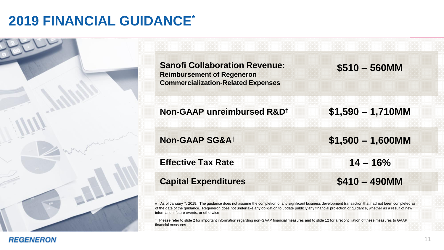# **2019 FINANCIAL GUIDANCE\***

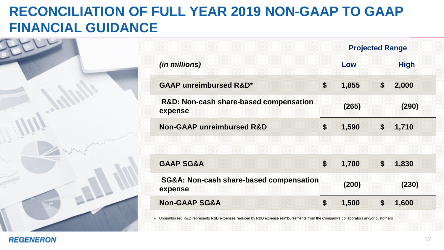# **RECONCILIATION OF FULL YEAR 2019 NON-GAAP TO GAAP FINANCIAL GUIDANCE**



|                                                    | <b>Projected Range</b> |       |    |             |
|----------------------------------------------------|------------------------|-------|----|-------------|
| (in millions)                                      |                        | Low   |    | <b>High</b> |
| <b>GAAP unreimbursed R&amp;D*</b>                  | \$                     | 1,855 | \$ | 2,000       |
| R&D: Non-cash share-based compensation<br>expense  |                        | (265) |    | (290)       |
| <b>Non-GAAP unreimbursed R&amp;D</b>               | \$                     | 1,590 | \$ | 1,710       |
|                                                    |                        |       |    |             |
| <b>GAAP SG&amp;A</b>                               | \$                     | 1,700 | \$ | 1,830       |
| SG&A: Non-cash share-based compensation<br>expense |                        | (200) |    | (230)       |
| <b>Non-GAAP SG&amp;A</b>                           | \$                     | 1,500 | \$ | 1,600       |
|                                                    |                        |       |    |             |

\* Unreimbursed R&D represents R&D expenses reduced by R&D expense reimbursements from the Company's collaborators and/or customers